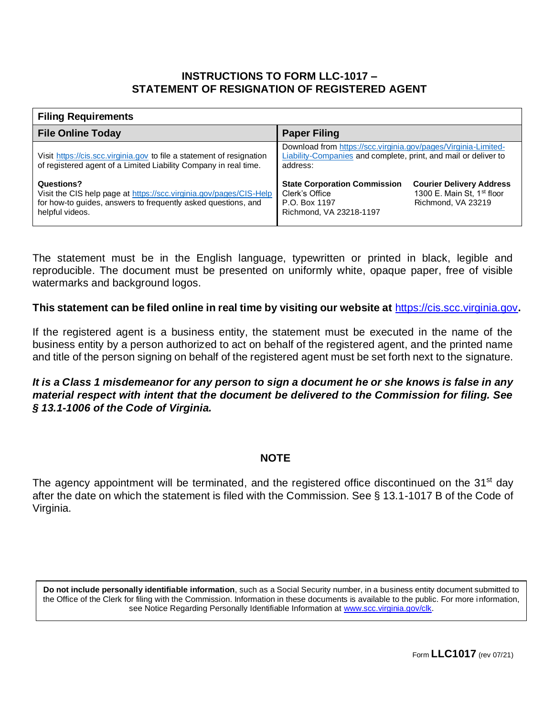## **INSTRUCTIONS TO FORM LLC-1017 – STATEMENT OF RESIGNATION OF REGISTERED AGENT**

| <b>Filing Requirements</b>                                                                                                                                           |                                                                                                                                                                                                      |  |  |
|----------------------------------------------------------------------------------------------------------------------------------------------------------------------|------------------------------------------------------------------------------------------------------------------------------------------------------------------------------------------------------|--|--|
| <b>File Online Today</b>                                                                                                                                             | <b>Paper Filing</b>                                                                                                                                                                                  |  |  |
| Visit https://cis.scc.virginia.gov to file a statement of resignation<br>of registered agent of a Limited Liability Company in real time.                            | Download from https://scc.virginia.gov/pages/Virginia-Limited-<br>Liability-Companies and complete, print, and mail or deliver to<br>address:                                                        |  |  |
| Questions?<br>Visit the CIS help page at https://scc.virginia.gov/pages/CIS-Help<br>for how-to guides, answers to frequently asked questions, and<br>helpful videos. | <b>State Corporation Commission</b><br><b>Courier Delivery Address</b><br>1300 E. Main St. 1 <sup>st</sup> floor<br>Clerk's Office<br>Richmond, VA 23219<br>P.O. Box 1197<br>Richmond, VA 23218-1197 |  |  |

The statement must be in the English language, typewritten or printed in black, legible and reproducible. The document must be presented on uniformly white, opaque paper, free of visible watermarks and background logos.

**This statement can be filed online in real time by visiting our website at** [https://cis.scc.virginia.gov](https://cis.scc.virginia.gov/)**.**

If the registered agent is a business entity, the statement must be executed in the name of the business entity by a person authorized to act on behalf of the registered agent, and the printed name and title of the person signing on behalf of the registered agent must be set forth next to the signature.

*It is a Class 1 misdemeanor for any person to sign a document he or she knows is false in any material respect with intent that the document be delivered to the Commission for filing. See § 13.1-1006 of the Code of Virginia.*

## **NOTE**

The agency appointment will be terminated, and the registered office discontinued on the 31<sup>st</sup> day after the date on which the statement is filed with the Commission. See § 13.1-1017 B of the Code of Virginia.

**Do not include personally identifiable information**, such as a Social Security number, in a business entity document submitted to the Office of the Clerk for filing with the Commission. Information in these documents is available to the public. For more information, see Notice Regarding Personally Identifiable Information at [www.scc.virginia.gov/clk.](http://www.scc.virginia.gov/clk)

Form **LLC1017** (rev 07/21)